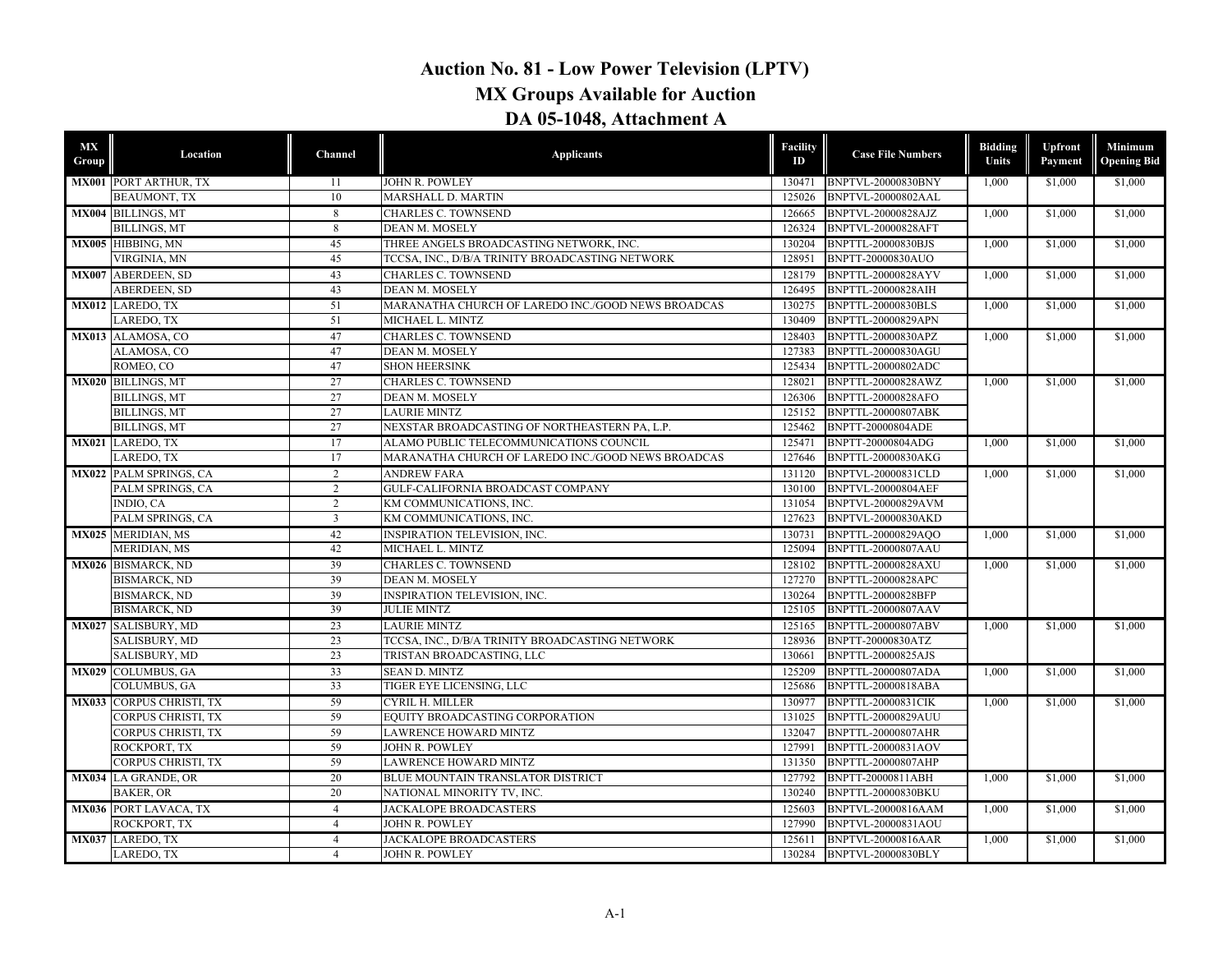## **Auction No. 81 - Low Power Television (LPTV) MX Groups Available for Auction DA 05-1048, Attachment A**

| <b>MX</b><br>Group | Location                      | Channel         | <b>Applicants</b>                                  | <b>Facility</b><br>ID | <b>Case File Numbers</b>  | <b>Bidding</b><br>Units | Upfront<br>Payment | <b>Minimum</b><br><b>Opening Bid</b> |
|--------------------|-------------------------------|-----------------|----------------------------------------------------|-----------------------|---------------------------|-------------------------|--------------------|--------------------------------------|
|                    | <b>MX001 PORT ARTHUR, TX</b>  | 11              | <b>JOHN R. POWLEY</b>                              | 130471                | BNPTVL-20000830BNY        | 1,000                   | \$1,000            | \$1,000                              |
|                    | <b>BEAUMONT, TX</b>           | 10              | MARSHALL D. MARTIN                                 | 125026                | BNPTVL-20000802AAL        |                         |                    |                                      |
|                    | MX004 BILLINGS, MT            | 8               | <b>CHARLES C. TOWNSEND</b>                         | 126665                | <b>BNPTVL-20000828AJZ</b> | 1.000                   | \$1,000            | \$1,000                              |
|                    | <b>BILLINGS, MT</b>           | 8               | DEAN M. MOSELY                                     | 126324                | <b>BNPTVL-20000828AFT</b> |                         |                    |                                      |
|                    | MX005 HIBBING, MN             | 45              | THREE ANGELS BROADCASTING NETWORK, INC.            | 130204                | <b>BNPTTL-20000830BJS</b> | 1,000                   | \$1,000            | \$1,000                              |
|                    | VIRGINIA, MN                  | 45              | TCCSA, INC., D/B/A TRINITY BROADCASTING NETWORK    | 128951                | BNPTT-20000830AUO         |                         |                    |                                      |
|                    | <b>MX007 ABERDEEN, SD</b>     | 43              | <b>CHARLES C. TOWNSEND</b>                         | 128179                | <b>BNPTTL-20000828AYV</b> | 1.000                   | \$1.000            | \$1,000                              |
|                    | ABERDEEN, SD                  | 43              | DEAN M. MOSELY                                     | 126495                | BNPTTL-20000828AIH        |                         |                    |                                      |
|                    | MX012 LAREDO, TX              | 51              | MARANATHA CHURCH OF LAREDO INC./GOOD NEWS BROADCAS | 130275                | <b>BNPTTL-20000830BLS</b> | 1,000                   | \$1,000            | \$1,000                              |
|                    | LAREDO, TX                    | 51              | MICHAEL L. MINTZ                                   | 130409                | <b>BNPTTL-20000829APN</b> |                         |                    |                                      |
|                    | MX013 ALAMOSA, CO             | 47              | <b>CHARLES C. TOWNSEND</b>                         | 128403                | BNPTTL-20000830APZ        | 1.000                   | \$1,000            | \$1,000                              |
|                    | ALAMOSA, CO                   | 47              | DEAN M. MOSELY                                     | 127383                | BNPTTL-20000830AGU        |                         |                    |                                      |
|                    | ROMEO, CO                     | 47              | <b>SHON HEERSINK</b>                               | 125434                | BNPTTL-20000802ADC        |                         |                    |                                      |
|                    | MX020 BILLINGS, MT            | 27              | <b>CHARLES C. TOWNSEND</b>                         | 128021                | BNPTTL-20000828AWZ        | 1.000                   | \$1,000            | \$1,000                              |
|                    | <b>BILLINGS, MT</b>           | $\overline{27}$ | DEAN M. MOSELY                                     | 126306                | BNPTTL-20000828AFO        |                         |                    |                                      |
|                    | <b>BILLINGS, MT</b>           | 27              | <b>LAURIE MINTZ</b>                                | 125152                | BNPTTL-20000807ABK        |                         |                    |                                      |
|                    | <b>BILLINGS, MT</b>           | 27              | NEXSTAR BROADCASTING OF NORTHEASTERN PA, L.P.      | 125462                | <b>BNPTT-20000804ADE</b>  |                         |                    |                                      |
|                    | MX021 LAREDO, TX              | 17              | ALAMO PUBLIC TELECOMMUNICATIONS COUNCIL            | 125471                | BNPTT-20000804ADG         | 1,000                   | \$1,000            | \$1,000                              |
|                    | LAREDO, TX                    | 17              | MARANATHA CHURCH OF LAREDO INC./GOOD NEWS BROADCAS | 127646                | <b>BNPTTL-20000830AKG</b> |                         |                    |                                      |
|                    | <b>MX022 PALM SPRINGS, CA</b> | 2               | <b>ANDREW FARA</b>                                 | 131120                | <b>BNPTVL-20000831CLD</b> | 1.000                   | \$1,000            | \$1,000                              |
|                    | PALM SPRINGS, CA              | $\overline{2}$  | GULF-CALIFORNIA BROADCAST COMPANY                  | 130100                | <b>BNPTVL-20000804AEF</b> |                         |                    |                                      |
|                    | INDIO, CA                     | 2               | KM COMMUNICATIONS, INC.                            | 131054                | <b>BNPTVL-20000829AVM</b> |                         |                    |                                      |
|                    | PALM SPRINGS, CA              | $\mathbf{3}$    | KM COMMUNICATIONS, INC.                            | 127623                | <b>BNPTVL-20000830AKD</b> |                         |                    |                                      |
|                    | MX025 MERIDIAN, MS            | 42              | <b>INSPIRATION TELEVISION, INC.</b>                | 130731                | BNPTTL-20000829AOO        | 1.000                   | \$1.000            | \$1,000                              |
|                    | <b>MERIDIAN, MS</b>           | 42              | MICHAEL L. MINTZ                                   | 125094                | BNPTTL-20000807AAU        |                         |                    |                                      |
|                    | MX026 BISMARCK, ND            | 39              | <b>CHARLES C. TOWNSEND</b>                         | 128102                | <b>BNPTTL-20000828AXU</b> | 1,000                   | \$1,000            | \$1,000                              |
|                    | <b>BISMARCK, ND</b>           | 39              | DEAN M. MOSELY                                     | 127270                | <b>BNPTTL-20000828APC</b> |                         |                    |                                      |
|                    | <b>BISMARCK, ND</b>           | 39              | <b>INSPIRATION TELEVISION, INC.</b>                | 130264                | <b>BNPTTL-20000828BFP</b> |                         |                    |                                      |
|                    | <b>BISMARCK, ND</b>           | 39              | <b>JULIE MINTZ</b>                                 | 125105                | <b>BNPTTL-20000807AAV</b> |                         |                    |                                      |
|                    | MX027 SALISBURY, MD           | 23              | <b>LAURIE MINTZ</b>                                | 125165                | <b>BNPTTL-20000807ABV</b> | 1,000                   | \$1,000            | \$1,000                              |
|                    | SALISBURY, MD                 | 23              | TCCSA, INC., D/B/A TRINITY BROADCASTING NETWORK    | 128936                | BNPTT-20000830ATZ         |                         |                    |                                      |
|                    | SALISBURY, MD                 | 23              | TRISTAN BROADCASTING, LLC                          | 130661                | BNPTTL-20000825AJS        |                         |                    |                                      |
|                    | MX029 COLUMBUS, GA            | 33              | <b>SEAN D. MINTZ</b>                               | 125209                | <b>BNPTTL-20000807ADA</b> | 1.000                   | \$1.000            | \$1,000                              |
|                    | <b>COLUMBUS, GA</b>           | 33              | TIGER EYE LICENSING, LLC                           | 125686                | BNPTTL-20000818ABA        |                         |                    |                                      |
|                    | MX033 CORPUS CHRISTI, TX      | 59              | CYRIL H. MILLER                                    | 130977                | <b>BNPTTL-20000831CIK</b> | 1,000                   | \$1,000            | \$1,000                              |
|                    | <b>CORPUS CHRISTI, TX</b>     | 59              | EQUITY BROADCASTING CORPORATION                    | 131025                | <b>BNPTTL-20000829AUU</b> |                         |                    |                                      |
|                    | CORPUS CHRISTI, TX            | 59              | <b>LAWRENCE HOWARD MINTZ</b>                       | 132047                | <b>BNPTTL-20000807AHR</b> |                         |                    |                                      |
|                    | ROCKPORT. TX                  | 59              | <b>JOHN R. POWLEY</b>                              | 127991                | <b>BNPTTL-20000831AOV</b> |                         |                    |                                      |
|                    | <b>CORPUS CHRISTI, TX</b>     | 59              | <b>LAWRENCE HOWARD MINTZ</b>                       | 131350                | <b>BNPTTL-20000807AHP</b> |                         |                    |                                      |
|                    | <b>MX034</b> LA GRANDE, OR    | 20              | BLUE MOUNTAIN TRANSLATOR DISTRICT                  | 127792                | BNPTT-20000811ABH         | 1,000                   | \$1,000            | \$1,000                              |
|                    | <b>BAKER, OR</b>              | 20              | NATIONAL MINORITY TV, INC.                         | 130240                | BNPTTL-20000830BKU        |                         |                    |                                      |
|                    | <b>MX036 PORT LAVACA, TX</b>  | $\overline{4}$  | <b>JACKALOPE BROADCASTERS</b>                      | 125603                | BNPTVL-20000816AAM        | 1.000                   | \$1,000            | \$1,000                              |
|                    | ROCKPORT, TX                  | $\overline{4}$  | <b>JOHN R. POWLEY</b>                              | 127990                | BNPTVL-20000831AOU        |                         |                    |                                      |
|                    | MX037 LAREDO, TX              | $\overline{4}$  | <b>JACKALOPE BROADCASTERS</b>                      | 125611                | <b>BNPTVL-20000816AAR</b> | 1,000                   | \$1,000            | \$1,000                              |
|                    | <b>LAREDO, TX</b>             | $\overline{4}$  | <b>JOHN R. POWLEY</b>                              | 130284                | BNPTVL-20000830BLY        |                         |                    |                                      |
|                    |                               |                 |                                                    |                       |                           |                         |                    |                                      |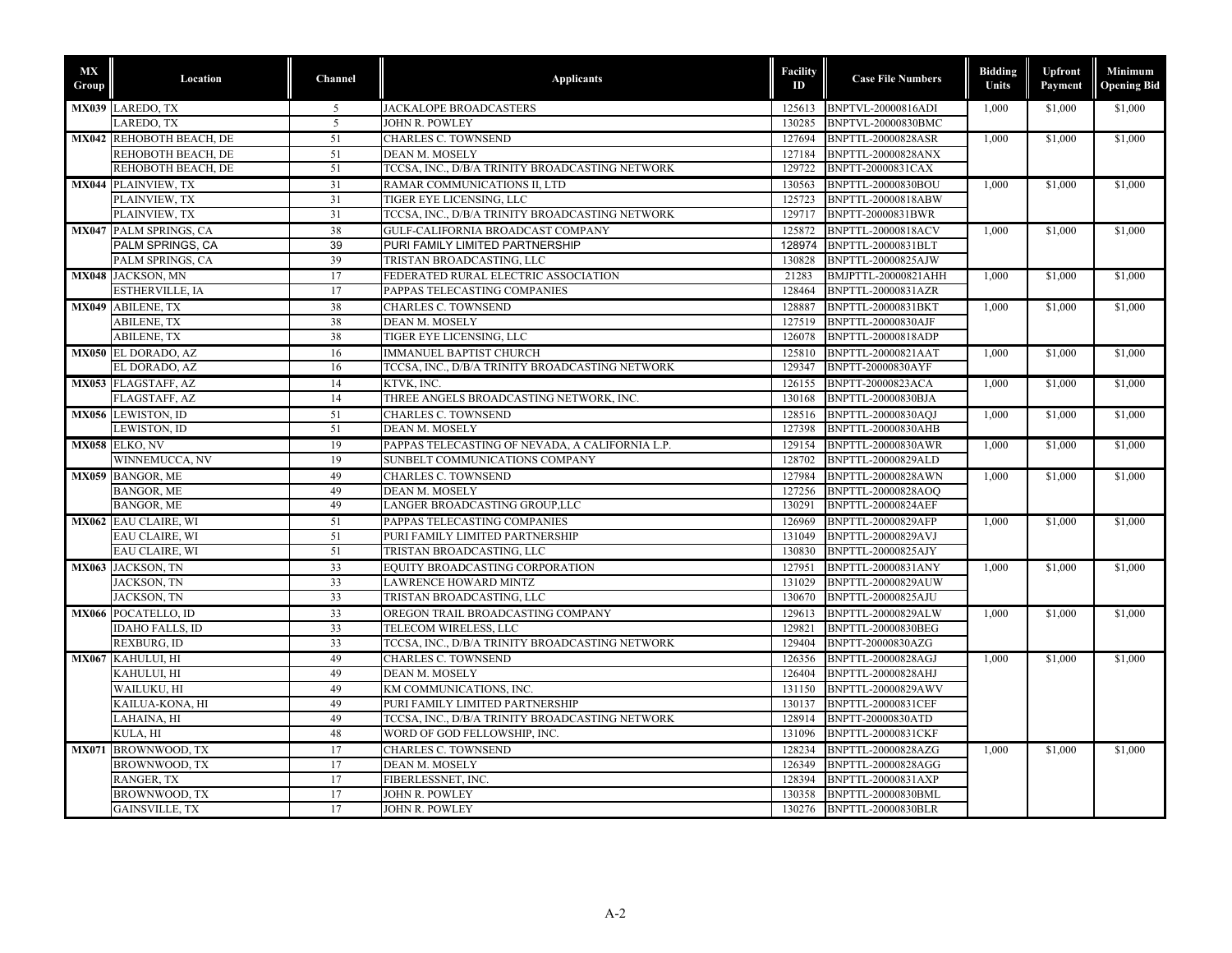| МX<br>Group | Location                      | Channel | <b>Applicants</b>                               | <b>Facility</b><br>ID | <b>Case File Numbers</b>  | <b>Bidding</b><br>Units | Upfront<br>Payment | Minimum<br><b>Opening Bid</b> |
|-------------|-------------------------------|---------|-------------------------------------------------|-----------------------|---------------------------|-------------------------|--------------------|-------------------------------|
|             | MX039 LAREDO, TX              | 5       | <b>JACKALOPE BROADCASTERS</b>                   | 125613                | <b>BNPTVL-20000816ADI</b> | 1.000                   | \$1,000            | \$1,000                       |
|             | LAREDO, TX                    | 5       | <b>JOHN R. POWLEY</b>                           | 130285                | BNPTVL-20000830BMC        |                         |                    |                               |
|             | MX042 REHOBOTH BEACH, DE      | 51      | <b>CHARLES C. TOWNSEND</b>                      | 127694                | <b>BNPTTL-20000828ASR</b> | 1,000                   | \$1,000            | \$1,000                       |
|             | REHOBOTH BEACH, DE            | 51      | DEAN M. MOSELY                                  | 127184                | <b>BNPTTL-20000828ANX</b> |                         |                    |                               |
|             | REHOBOTH BEACH, DE            | 51      | TCCSA, INC., D/B/A TRINITY BROADCASTING NETWORK | 129722                | <b>BNPTT-20000831CAX</b>  |                         |                    |                               |
|             | <b>MX044 PLAINVIEW, TX</b>    | 31      | RAMAR COMMUNICATIONS II. LTD                    | 130563                | BNPTTL-20000830BOU        | 1.000                   | \$1,000            | \$1,000                       |
|             | PLAINVIEW, TX                 | 31      | TIGER EYE LICENSING, LLC                        | 125723                | BNPTTL-20000818ABW        |                         |                    |                               |
|             | PLAINVIEW, TX                 | 31      | TCCSA, INC., D/B/A TRINITY BROADCASTING NETWORK | 129717                | BNPTT-20000831BWR         |                         |                    |                               |
|             | <b>MX047 PALM SPRINGS, CA</b> | 38      | <b>GULF-CALIFORNIA BROADCAST COMPANY</b>        | 125872                | <b>BNPTTL-20000818ACV</b> | 1.000                   | \$1,000            | \$1,000                       |
|             | PALM SPRINGS, CA              | 39      | PURI FAMILY LIMITED PARTNERSHIP                 | 128974                | BNPTTL-20000831BLT        |                         |                    |                               |
|             | PALM SPRINGS, CA              | 39      | TRISTAN BROADCASTING, LLC                       | 130828                | BNPTTL-20000825AJW        |                         |                    |                               |
|             | <b>MX048</b> JACKSON, MN      | 17      | FEDERATED RURAL ELECTRIC ASSOCIATION            | 21283                 | BMJPTTL-20000821AHH       | 1,000                   | \$1,000            | \$1,000                       |
|             | ESTHERVILLE, IA               | 17      | PAPPAS TELECASTING COMPANIES                    | 128464                | <b>BNPTTL-20000831AZR</b> |                         |                    |                               |
|             | MX049 ABILENE, TX             | 38      | <b>CHARLES C. TOWNSEND</b>                      | 128887                | BNPTTL-20000831BKT        | 1.000                   | \$1,000            | \$1,000                       |
|             | <b>ABILENE, TX</b>            | 38      | DEAN M. MOSELY                                  | 127519                | <b>BNPTTL-20000830AJF</b> |                         |                    |                               |
|             | <b>ABILENE, TX</b>            | 38      | TIGER EYE LICENSING, LLC                        | 126078                | BNPTTL-20000818ADP        |                         |                    |                               |
|             | MX050 EL DORADO, AZ           | 16      | <b>IMMANUEL BAPTIST CHURCH</b>                  | 125810                | <b>BNPTTL-20000821AAT</b> | 1,000                   | \$1,000            | \$1,000                       |
|             | EL DORADO, AZ                 | 16      | TCCSA, INC., D/B/A TRINITY BROADCASTING NETWORK | 129347                | BNPTT-20000830AYF         |                         |                    |                               |
|             | MX053 FLAGSTAFF, AZ           | 14      | KTVK, INC                                       | 126155                | <b>BNPTT-20000823ACA</b>  | 1,000                   | \$1,000            | \$1,000                       |
|             | FLAGSTAFF, AZ                 | 14      | THREE ANGELS BROADCASTING NETWORK, INC.         | 130168                | BNPTTL-20000830BJA        |                         |                    |                               |
|             | <b>MX056</b> LEWISTON, ID     | 51      | <b>CHARLES C. TOWNSEND</b>                      | 128516                | <b>BNPTTL-20000830AQJ</b> | 1,000                   | \$1,000            | \$1,000                       |
|             | LEWISTON, ID                  | 51      | DEAN M. MOSELY                                  | 127398                | <b>BNPTTL-20000830AHB</b> |                         |                    |                               |
|             | MX058 ELKO, NV                | 19      | PAPPAS TELECASTING OF NEVADA, A CALIFORNIA L.P. | 129154                | <b>BNPTTL-20000830AWR</b> | 1,000                   | \$1,000            | \$1,000                       |
|             | WINNEMUCCA, NV                | 19      | SUNBELT COMMUNICATIONS COMPANY                  | 128702                | BNPTTL-20000829ALD        |                         |                    |                               |
|             | MX059 BANGOR, ME              | 49      | <b>CHARLES C. TOWNSEND</b>                      | 127984                | <b>BNPTTL-20000828AWN</b> | 1.000                   | \$1,000            | \$1,000                       |
|             | <b>BANGOR, ME</b>             | 49      | <b>DEAN M. MOSELY</b>                           | 127256                | BNPTTL-20000828AOQ        |                         |                    |                               |
|             | <b>BANGOR, ME</b>             | 49      | LANGER BROADCASTING GROUP,LLC                   | 130291                | BNPTTL-20000824AEF        |                         |                    |                               |
|             | MX062 EAU CLAIRE, WI          | 51      | PAPPAS TELECASTING COMPANIES                    | 126969                | <b>BNPTTL-20000829AFP</b> | 1,000                   | \$1,000            | \$1,000                       |
|             | EAU CLAIRE, WI                | 51      | PURI FAMILY LIMITED PARTNERSHIP                 | 131049                | <b>BNPTTL-20000829AVJ</b> |                         |                    |                               |
|             | EAU CLAIRE, WI                | 51      | TRISTAN BROADCASTING, LLC                       | 130830                | <b>BNPTTL-20000825AJY</b> |                         |                    |                               |
|             | MX063 JACKSON, TN             | 33      | EQUITY BROADCASTING CORPORATION                 | 127951                | BNPTTL-20000831ANY        | 1.000                   | \$1,000            | \$1,000                       |
|             | <b>JACKSON, TN</b>            | 33      | <b>LAWRENCE HOWARD MINTZ</b>                    | 131029                | <b>BNPTTL-20000829AUW</b> |                         |                    |                               |
|             | JACKSON, TN                   | 33      | TRISTAN BROADCASTING, LLC                       | 130670                | BNPTTL-20000825AJU        |                         |                    |                               |
|             | MX066 POCATELLO, ID           | 33      | OREGON TRAIL BROADCASTING COMPANY               | 129613                | <b>BNPTTL-20000829ALW</b> | 1.000                   | \$1,000            | \$1,000                       |
|             | <b>IDAHO FALLS, ID</b>        | 33      | TELECOM WIRELESS, LLC                           | 129821                | BNPTTL-20000830BEG        |                         |                    |                               |
|             | REXBURG, ID                   | 33      | TCCSA, INC., D/B/A TRINITY BROADCASTING NETWORK | 129404                | BNPTT-20000830AZG         |                         |                    |                               |
|             | MX067 KAHULUI, HI             | 49      | <b>CHARLES C. TOWNSEND</b>                      | 126356                | BNPTTL-20000828AGJ        | 1,000                   | \$1,000            | \$1,000                       |
|             | KAHULUI, HI                   | 49      | DEAN M. MOSELY                                  | 126404                | <b>BNPTTL-20000828AHJ</b> |                         |                    |                               |
|             | WAILUKU, HI                   | 49      | KM COMMUNICATIONS, INC.                         | 131150                | <b>BNPTTL-20000829AWV</b> |                         |                    |                               |
|             | KAILUA-KONA, HI               | 49      | PURI FAMILY LIMITED PARTNERSHIP                 | 130137                | BNPTTL-20000831CEF        |                         |                    |                               |
|             | LAHAINA, HI                   | 49      | TCCSA, INC., D/B/A TRINITY BROADCASTING NETWORK | 128914                | BNPTT-20000830ATD         |                         |                    |                               |
|             | KULA, HI                      | 48      | WORD OF GOD FELLOWSHIP, INC.                    | 131096                | <b>BNPTTL-20000831CKF</b> |                         |                    |                               |
|             | MX071 BROWNWOOD, TX           | 17      | <b>CHARLES C. TOWNSEND</b>                      | 128234                | BNPTTL-20000828AZG        | 1.000                   | \$1,000            | \$1,000                       |
|             | BROWNWOOD, TX                 | 17      | DEAN M. MOSELY                                  | 126349                | BNPTTL-20000828AGG        |                         |                    |                               |
|             | RANGER, TX                    | 17      | FIBERLESSNET, INC.                              | 128394                | BNPTTL-20000831AXP        |                         |                    |                               |
|             | BROWNWOOD, TX                 | 17      | JOHN R. POWLEY                                  | 130358                | BNPTTL-20000830BML        |                         |                    |                               |
|             | <b>GAINSVILLE, TX</b>         | 17      | JOHN R. POWLEY                                  |                       | 130276 BNPTTL-20000830BLR |                         |                    |                               |
|             |                               |         |                                                 |                       |                           |                         |                    |                               |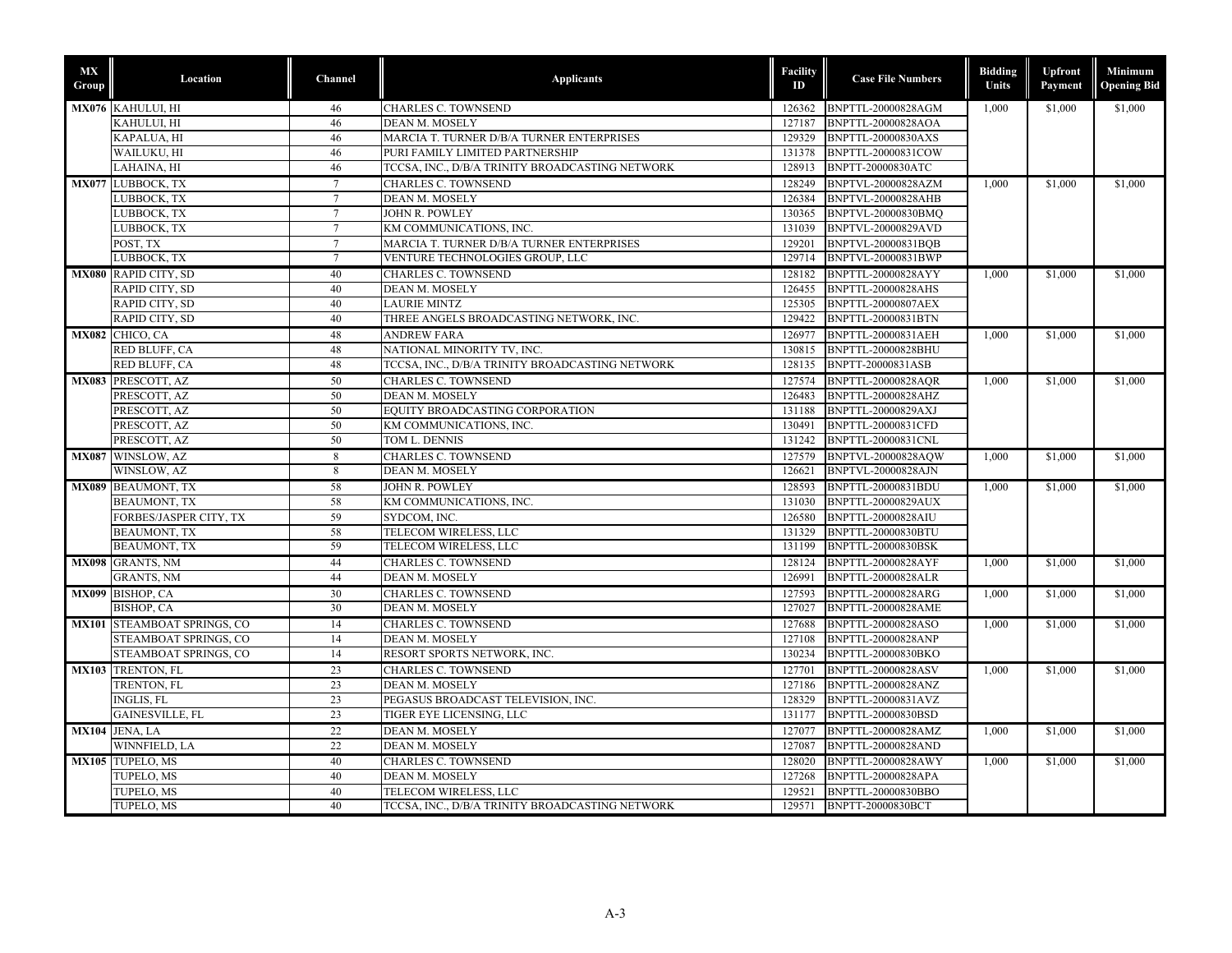| MX<br>Group | Location                               | Channel         | <b>Applicants</b>                               | Facility<br>ID   | <b>Case File Numbers</b>  | <b>Bidding</b><br>Units | <b>Upfront</b><br>Payment | Minimum<br><b>Opening Bid</b> |
|-------------|----------------------------------------|-----------------|-------------------------------------------------|------------------|---------------------------|-------------------------|---------------------------|-------------------------------|
|             | MX076 KAHULUI, HI                      | 46              | <b>CHARLES C. TOWNSEND</b>                      | 126362           | BNPTTL-20000828AGM        | 1,000                   | \$1,000                   | \$1,000                       |
|             | KAHULUI. HI                            | 46              | <b>DEAN M. MOSELY</b>                           | 127187           | <b>BNPTTL-20000828AOA</b> |                         |                           |                               |
|             | KAPALUA, HI                            | 46              | MARCIA T. TURNER D/B/A TURNER ENTERPRISES       | 129329           | <b>BNPTTL-20000830AXS</b> |                         |                           |                               |
|             | WAILUKU, HI                            | 46              | PURI FAMILY LIMITED PARTNERSHIP                 | 131378           | BNPTTL-20000831COW        |                         |                           |                               |
|             | LAHAINA, HI                            | 46              | TCCSA, INC., D/B/A TRINITY BROADCASTING NETWORK | 128913           | BNPTT-20000830ATC         |                         |                           |                               |
|             | MX077 LUBBOCK, TX                      | $7\phantom{.0}$ | <b>CHARLES C. TOWNSEND</b>                      | 128249           | BNPTVL-20000828AZM        | 1,000                   | \$1,000                   | \$1,000                       |
|             | LUBBOCK, TX                            | $7\phantom{.0}$ | <b>DEAN M. MOSELY</b>                           | 126384           | <b>BNPTVL-20000828AHB</b> |                         |                           |                               |
|             | LUBBOCK, TX                            | $7\phantom{.0}$ | JOHN R. POWLEY                                  | 130365           | BNPTVL-20000830BMO        |                         |                           |                               |
|             | LUBBOCK, TX                            | $7\overline{ }$ | KM COMMUNICATIONS, INC.                         | 131039           | BNPTVL-20000829AVD        |                         |                           |                               |
|             | POST, TX                               | $7\overline{ }$ | MARCIA T. TURNER D/B/A TURNER ENTERPRISES       | 129201           | BNPTVL-20000831BQB        |                         |                           |                               |
|             | LUBBOCK, TX                            | $7\phantom{.0}$ | VENTURE TECHNOLOGIES GROUP, LLC                 | 129714           | BNPTVL-20000831BWP        |                         |                           |                               |
|             | MX080 RAPID CITY, SD                   | 40              | <b>CHARLES C. TOWNSEND</b>                      | 128182           | BNPTTL-20000828AYY        | 1,000                   | \$1,000                   | \$1,000                       |
|             | RAPID CITY, SD                         | 40              | DEAN M. MOSELY                                  | 126455           | <b>BNPTTL-20000828AHS</b> |                         |                           |                               |
|             | RAPID CITY, SD                         | 40              | <b>LAURIE MINTZ</b>                             | 125305           | <b>BNPTTL-20000807AEX</b> |                         |                           |                               |
|             | RAPID CITY, SD                         | 40              | THREE ANGELS BROADCASTING NETWORK, INC.         | 129422           | BNPTTL-20000831BTN        |                         |                           |                               |
|             | MX082 CHICO, CA                        | 48              | <b>ANDREW FARA</b>                              | 126977           | BNPTTL-20000831AEH        | 1,000                   | \$1,000                   | \$1,000                       |
|             | RED BLUFF, CA                          | 48              | NATIONAL MINORITY TV, INC.                      | 130815           | BNPTTL-20000828BHU        |                         |                           |                               |
|             | RED BLUFF, CA                          | 48              | TCCSA, INC., D/B/A TRINITY BROADCASTING NETWORK | 128135           | BNPTT-20000831ASB         |                         |                           |                               |
|             | MX083 PRESCOTT, AZ                     | 50              | <b>CHARLES C. TOWNSEND</b>                      | 127574           | <b>BNPTTL-20000828AQR</b> | 1.000                   | \$1,000                   | \$1,000                       |
|             | PRESCOTT, AZ                           | 50              | <b>DEAN M. MOSELY</b>                           | 126483           | BNPTTL-20000828AHZ        |                         |                           |                               |
|             | PRESCOTT, AZ                           | 50              | EQUITY BROADCASTING CORPORATION                 | 131188           | <b>BNPTTL-20000829AXJ</b> |                         |                           |                               |
|             | PRESCOTT, AZ                           | 50              | KM COMMUNICATIONS, INC.                         | 130491           | BNPTTL-20000831CFD        |                         |                           |                               |
|             | PRESCOTT, AZ                           | 50              | TOM L. DENNIS                                   | 131242           | BNPTTL-20000831CNL        |                         |                           |                               |
|             | MX087 WINSLOW, AZ                      | 8               | <b>CHARLES C. TOWNSEND</b>                      | 127579           | BNPTVL-20000828AQW        | 1.000                   | \$1,000                   | \$1,000                       |
|             | WINSLOW, AZ                            | 8               | DEAN M. MOSELY                                  | 126621           | <b>BNPTVL-20000828AJN</b> |                         |                           |                               |
|             | <b>MX089 BEAUMONT, TX</b>              | 58              | <b>JOHN R. POWLEY</b>                           | 128593           | BNPTTL-20000831BDU        | 1.000                   | \$1,000                   | \$1,000                       |
|             | <b>BEAUMONT, TX</b>                    | 58              | KM COMMUNICATIONS, INC.                         | 131030           | <b>BNPTTL-20000829AUX</b> |                         |                           |                               |
|             | FORBES/JASPER CITY, TX                 | 59              | SYDCOM, INC.                                    | 126580           | BNPTTL-20000828AIU        |                         |                           |                               |
|             | <b>BEAUMONT, TX</b>                    | 58              | TELECOM WIRELESS, LLC                           | 131329           | BNPTTL-20000830BTU        |                         |                           |                               |
|             | <b>BEAUMONT, TX</b>                    | 59              | TELECOM WIRELESS, LLC                           | 131199           | <b>BNPTTL-20000830BSK</b> |                         |                           |                               |
|             | MX098 GRANTS, NM                       | 44              | <b>CHARLES C. TOWNSEND</b>                      | 128124           | <b>BNPTTL-20000828AYF</b> | 1,000                   | \$1,000                   | \$1,000                       |
|             | <b>GRANTS, NM</b>                      | 44              | <b>DEAN M. MOSELY</b>                           | 126991           | <b>BNPTTL-20000828ALR</b> |                         |                           |                               |
|             | MX099 BISHOP, CA                       | 30              | <b>CHARLES C. TOWNSEND</b>                      | 127593           | <b>BNPTTL-20000828ARG</b> | 1.000                   | \$1,000                   | \$1.000                       |
|             | BISHOP, CA                             | 30              | <b>DEAN M. MOSELY</b>                           | 127027           | <b>BNPTTL-20000828AME</b> |                         |                           |                               |
|             | MX101 STEAMBOAT SPRINGS, CO            | 14              | <b>CHARLES C. TOWNSEND</b>                      | 127688           | BNPTTL-20000828ASO        | 1.000                   | \$1,000                   | \$1,000                       |
|             | STEAMBOAT SPRINGS, CO                  | 14              | <b>DEAN M. MOSELY</b>                           | 127108           | <b>BNPTTL-20000828ANP</b> |                         |                           |                               |
|             | STEAMBOAT SPRINGS, CO                  | 14              | RESORT SPORTS NETWORK, INC.                     | 130234           | <b>BNPTTL-20000830BKO</b> |                         |                           |                               |
|             | MX103 TRENTON, FL                      | 23              | <b>CHARLES C. TOWNSEND</b>                      | 127701           | <b>BNPTTL-20000828ASV</b> | 1.000                   | \$1,000                   | \$1,000                       |
|             | TRENTON, FL                            | 23              | DEAN M. MOSELY                                  | 127186           | BNPTTL-20000828ANZ        |                         |                           |                               |
|             | <b>INGLIS, FL</b>                      | 23              | PEGASUS BROADCAST TELEVISION, INC.              | 128329           | BNPTTL-20000831AVZ        |                         |                           |                               |
|             | <b>GAINESVILLE, FL</b>                 | 23              | TIGER EYE LICENSING, LLC                        | 131177           | BNPTTL-20000830BSD        |                         |                           |                               |
|             |                                        | 22              |                                                 |                  | BNPTTL-20000828AMZ        |                         |                           |                               |
|             | MX104 JENA, LA<br><b>WINNFIELD, LA</b> | 22              | <b>DEAN M. MOSELY</b><br><b>DEAN M. MOSELY</b>  | 127077<br>127087 | <b>BNPTTL-20000828AND</b> | 1,000                   | \$1,000                   | \$1,000                       |
|             |                                        |                 |                                                 |                  |                           |                         |                           |                               |
|             | MX105 TUPELO, MS                       | 40              | <b>CHARLES C. TOWNSEND</b>                      | 128020           | BNPTTL-20000828AWY        | 1.000                   | \$1,000                   | \$1,000                       |
|             | TUPELO, MS                             | 40              | DEAN M. MOSELY                                  | 127268           | <b>BNPTTL-20000828APA</b> |                         |                           |                               |
|             | TUPELO, MS                             | 40              | TELECOM WIRELESS, LLC                           | 129521           | BNPTTL-20000830BBO        |                         |                           |                               |
|             | TUPELO, MS                             | 40              | TCCSA, INC., D/B/A TRINITY BROADCASTING NETWORK |                  | 129571 BNPTT-20000830BCT  |                         |                           |                               |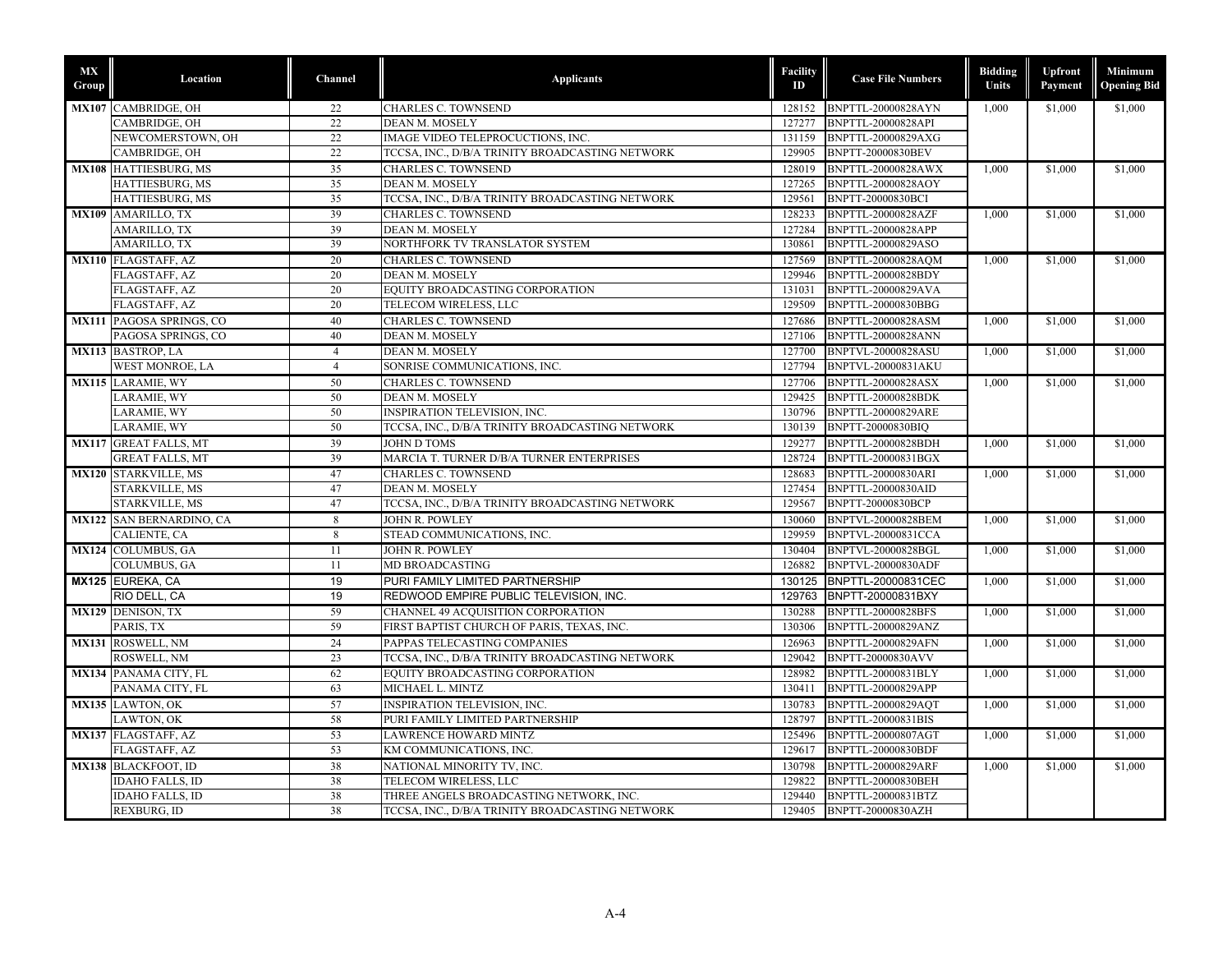| MX<br>Group | Location                        | Channel        | <b>Applicants</b>                               | Facility<br>ID | <b>Case File Numbers</b>  | <b>Bidding</b><br>Units | Upfront<br>Payment   | <b>Minimum</b><br><b>Opening Bid</b> |
|-------------|---------------------------------|----------------|-------------------------------------------------|----------------|---------------------------|-------------------------|----------------------|--------------------------------------|
|             | MX107 CAMBRIDGE, OH             | 22             | <b>CHARLES C. TOWNSEND</b>                      | 128152         | <b>BNPTTL-20000828AYN</b> | 1,000                   | \$1,000              | \$1,000                              |
|             | CAMBRIDGE, OH                   | 22             | <b>DEAN M. MOSELY</b>                           | 127277         | <b>BNPTTL-20000828API</b> |                         |                      |                                      |
|             | NEWCOMERSTOWN, OH               | 22             | IMAGE VIDEO TELEPROCUCTIONS, INC.               | 131159         | BNPTTL-20000829AXG        |                         |                      |                                      |
|             | CAMBRIDGE, OH                   | 22             | TCCSA, INC., D/B/A TRINITY BROADCASTING NETWORK | 129905         | BNPTT-20000830BEV         |                         |                      |                                      |
|             | MX108 HATTIESBURG, MS           | 35             | <b>CHARLES C. TOWNSEND</b>                      | 128019         | <b>BNPTTL-20000828AWX</b> | 1,000                   | \$1,000              | \$1,000                              |
|             | HATTIESBURG, MS                 | 35             | DEAN M. MOSELY                                  | 127265         | BNPTTL-20000828AOY        |                         |                      |                                      |
|             | HATTIESBURG, MS                 | 35             | TCCSA, INC., D/B/A TRINITY BROADCASTING NETWORK | 129561         | <b>BNPTT-20000830BCI</b>  |                         |                      |                                      |
|             | MX109 AMARILLO, TX              | 39             | <b>CHARLES C. TOWNSEND</b>                      | 128233         | <b>BNPTTL-20000828AZF</b> | 1,000                   | $\overline{\$1,000}$ | \$1,000                              |
|             | AMARILLO, TX                    | 39             | DEAN M. MOSELY                                  | 127284         | <b>BNPTTL-20000828APP</b> |                         |                      |                                      |
|             | <b>AMARILLO, TX</b>             | 39             | NORTHFORK TV TRANSLATOR SYSTEM                  | 130861         | BNPTTL-20000829ASO        |                         |                      |                                      |
|             | MX110 FLAGSTAFF, AZ             | 20             | <b>CHARLES C. TOWNSEND</b>                      | 127569         | <b>BNPTTL-20000828AQM</b> | 1,000                   | \$1,000              | \$1,000                              |
|             | FLAGSTAFF, AZ                   | 20             | DEAN M. MOSELY                                  | 129946         | BNPTTL-20000828BDY        |                         |                      |                                      |
|             | FLAGSTAFF, AZ                   | 20             | EQUITY BROADCASTING CORPORATION                 | 131031         | BNPTTL-20000829AVA        |                         |                      |                                      |
|             | FLAGSTAFF, AZ                   | 20             | TELECOM WIRELESS, LLC                           | 129509         | BNPTTL-20000830BBG        |                         |                      |                                      |
|             | MX111 PAGOSA SPRINGS, CO        | 40             | <b>CHARLES C. TOWNSEND</b>                      | 127686         | <b>BNPTTL-20000828ASM</b> | 1.000                   | \$1,000              | \$1,000                              |
|             | PAGOSA SPRINGS, CO              | 40             | DEAN M. MOSELY                                  | 127106         | <b>BNPTTL-20000828ANN</b> |                         |                      |                                      |
|             | MX113 BASTROP, LA               | $\overline{4}$ | DEAN M. MOSELY                                  | 127700         | <b>BNPTVL-20000828ASU</b> | 1,000                   | \$1,000              | \$1,000                              |
|             | <b>WEST MONROE, LA</b>          | $\overline{4}$ | SONRISE COMMUNICATIONS, INC.                    | 127794         | <b>BNPTVL-20000831AKU</b> |                         |                      |                                      |
|             | <b>MX115 LARAMIE, WY</b>        | 50             | <b>CHARLES C. TOWNSEND</b>                      | 127706         | <b>BNPTTL-20000828ASX</b> | 1.000                   | \$1,000              | \$1,000                              |
|             | LARAMIE, WY                     | 50             | DEAN M. MOSELY                                  | 129425         | BNPTTL-20000828BDK        |                         |                      |                                      |
|             | LARAMIE, WY                     | 50             | INSPIRATION TELEVISION, INC.                    | 130796         | BNPTTL-20000829ARE        |                         |                      |                                      |
|             | LARAMIE, WY                     | 50             | TCCSA, INC., D/B/A TRINITY BROADCASTING NETWORK | 130139         | BNPTT-20000830BIO         |                         |                      |                                      |
|             | MX117 GREAT FALLS, MT           | 39             | <b>JOHN D TOMS</b>                              | 129277         | <b>BNPTTL-20000828BDH</b> | 1,000                   | \$1,000              | \$1,000                              |
|             | <b>GREAT FALLS, MT</b>          | 39             | MARCIA T. TURNER D/B/A TURNER ENTERPRISES       | 128724         | BNPTTL-20000831BGX        |                         |                      |                                      |
|             | <b>MX120 STARKVILLE, MS</b>     | 47             | CHARLES C. TOWNSEND                             | 128683         | <b>BNPTTL-20000830ARI</b> | 1.000                   | \$1.000              | \$1,000                              |
|             | STARKVILLE, MS                  | 47             | DEAN M. MOSELY                                  | 127454         | <b>BNPTTL-20000830AID</b> |                         |                      |                                      |
|             | STARKVILLE, MS                  | 47             | TCCSA, INC., D/B/A TRINITY BROADCASTING NETWORK | 129567         | <b>BNPTT-20000830BCP</b>  |                         |                      |                                      |
|             | <b>MX122 SAN BERNARDINO, CA</b> | 8              | <b>JOHN R. POWLEY</b>                           | 130060         | BNPTVL-20000828BEM        | 1.000                   | \$1,000              | \$1,000                              |
|             | CALIENTE, CA                    | 8              | STEAD COMMUNICATIONS, INC.                      | 129959         | BNPTVL-20000831CCA        |                         |                      |                                      |
|             | MX124 COLUMBUS, GA              | 11             | JOHN R. POWLEY                                  | 130404         | BNPTVL-20000828BGL        | 1,000                   | \$1,000              | \$1,000                              |
|             | <b>COLUMBUS, GA</b>             | 11             | MD BROADCASTING                                 | 126882         | <b>BNPTVL-20000830ADF</b> |                         |                      |                                      |
|             | MX125 EUREKA, CA                | 19             | PURI FAMILY LIMITED PARTNERSHIP                 | 130125         | BNPTTL-20000831CEC        | 1,000                   | \$1,000              | \$1,000                              |
|             | RIO DELL, CA                    | 19             | REDWOOD EMPIRE PUBLIC TELEVISION, INC.          | 129763         | BNPTT-20000831BXY         |                         |                      |                                      |
|             | MX129 DENISON, TX               | 59             | CHANNEL 49 ACQUISITION CORPORATION              | 130288         | BNPTTL-20000828BFS        | 1.000                   | \$1,000              | \$1,000                              |
|             | PARIS, TX                       | 59             | FIRST BAPTIST CHURCH OF PARIS, TEXAS, INC.      | 130306         | BNPTTL-20000829ANZ        |                         |                      |                                      |
|             | MX131 ROSWELL, NM               | 24             | PAPPAS TELECASTING COMPANIES                    | 126963         | <b>BNPTTL-20000829AFN</b> | 1,000                   | \$1,000              | \$1,000                              |
|             | ROSWELL, NM                     | 23             | TCCSA, INC., D/B/A TRINITY BROADCASTING NETWORK | 129042         | BNPTT-20000830AVV         |                         |                      |                                      |
|             | MX134 PANAMA CITY, FL           | 62             | EQUITY BROADCASTING CORPORATION                 | 128982         | BNPTTL-20000831BLY        | 1,000                   | \$1,000              | \$1,000                              |
|             | PANAMA CITY, FL                 | 63             | MICHAEL L. MINTZ                                | 130411         | <b>BNPTTL-20000829APP</b> |                         |                      |                                      |
|             | MX135 LAWTON, OK                | 57             | <b>INSPIRATION TELEVISION, INC.</b>             | 130783         | BNPTTL-20000829AQT        | 1,000                   | \$1,000              | \$1,000                              |
|             | LAWTON, OK                      | 58             | PURI FAMILY LIMITED PARTNERSHIP                 | 128797         | <b>BNPTTL-20000831BIS</b> |                         |                      |                                      |
|             | MX137 FLAGSTAFF, AZ             | 53             | <b>LAWRENCE HOWARD MINTZ</b>                    | 125496         | BNPTTL-20000807AGT        |                         | \$1,000              | \$1,000                              |
|             | FLAGSTAFF, AZ                   | 53             | KM COMMUNICATIONS, INC.                         | 129617         | BNPTTL-20000830BDF        | 1,000                   |                      |                                      |
|             |                                 |                |                                                 |                |                           |                         |                      |                                      |
|             | MX138 BLACKFOOT, ID             | 38             | NATIONAL MINORITY TV, INC.                      | 130798         | <b>BNPTTL-20000829ARF</b> | 1,000                   | \$1,000              | \$1,000                              |
|             | <b>IDAHO FALLS, ID</b>          | 38             | TELECOM WIRELESS, LLC                           | 129822         | <b>BNPTTL-20000830BEH</b> |                         |                      |                                      |
|             | <b>IDAHO FALLS, ID</b>          | 38             | THREE ANGELS BROADCASTING NETWORK, INC.         | 129440         | BNPTTL-20000831BTZ        |                         |                      |                                      |
|             | REXBURG, ID                     | 38             | TCCSA, INC., D/B/A TRINITY BROADCASTING NETWORK |                | 129405 BNPTT-20000830AZH  |                         |                      |                                      |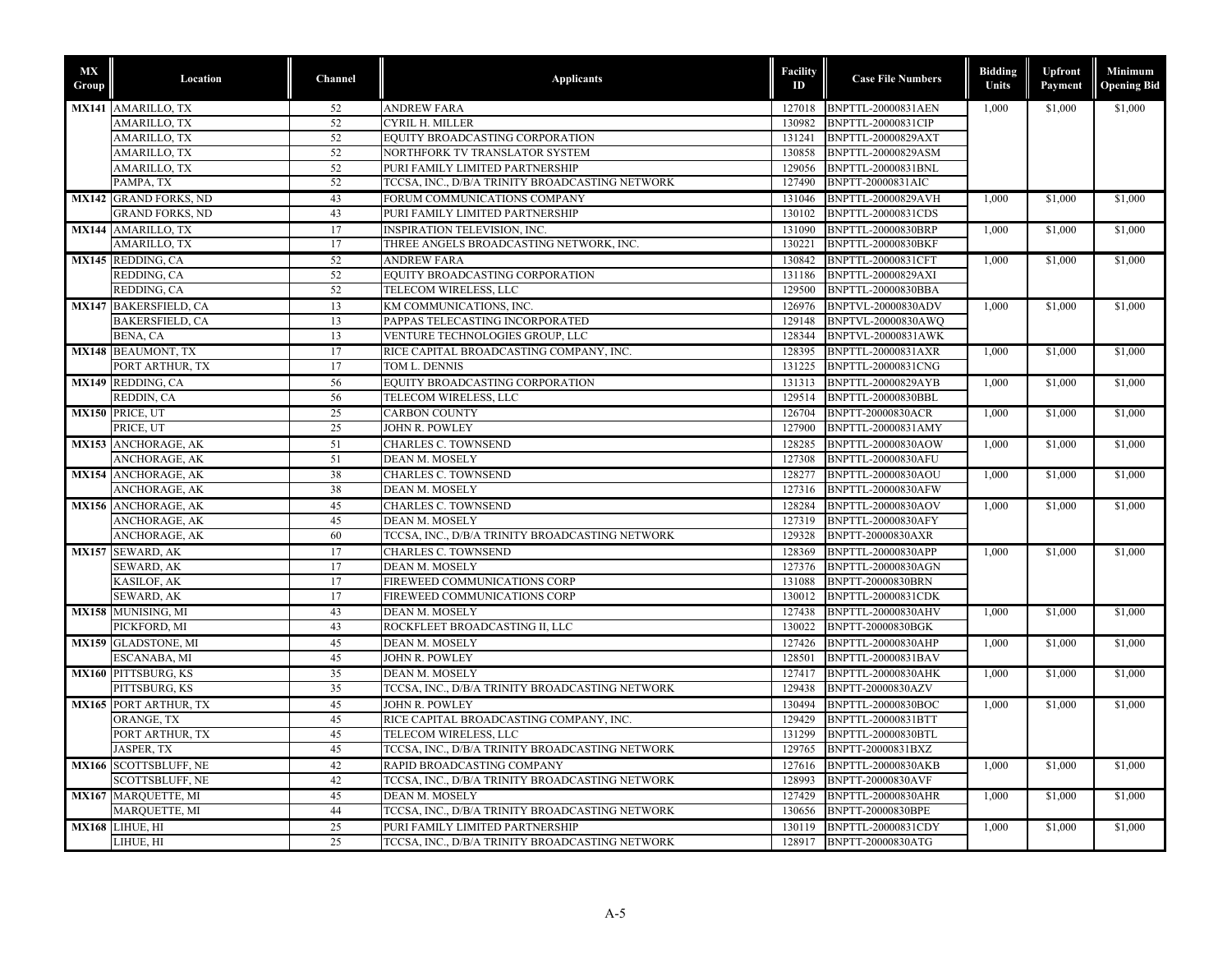| MX<br>Group  | Location                     | Channel | <b>Applicants</b>                               | <b>Facility</b><br>ID | <b>Case File Numbers</b>  | <b>Bidding</b><br>Units | Upfront<br>Payment | Minimum<br><b>Opening Bid</b> |
|--------------|------------------------------|---------|-------------------------------------------------|-----------------------|---------------------------|-------------------------|--------------------|-------------------------------|
|              | MX141 AMARILLO, TX           | 52      | <b>ANDREW FARA</b>                              | 127018                | BNPTTL-20000831AEN        | 1.000                   | \$1,000            | \$1,000                       |
|              | <b>AMARILLO, TX</b>          | 52      | <b>CYRIL H. MILLER</b>                          | 130982                | BNPTTL-20000831CIP        |                         |                    |                               |
|              | AMARILLO, TX                 | 52      | EQUITY BROADCASTING CORPORATION                 | 131241                | BNPTTL-20000829AXT        |                         |                    |                               |
|              | AMARILLO, TX                 | 52      | NORTHFORK TV TRANSLATOR SYSTEM                  | 130858                | BNPTTL-20000829ASM        |                         |                    |                               |
|              | AMARILLO, TX                 | 52      | PURI FAMILY LIMITED PARTNERSHIP                 | 129056                | BNPTTL-20000831BNL        |                         |                    |                               |
|              | PAMPA, TX                    | 52      | TCCSA, INC., D/B/A TRINITY BROADCASTING NETWORK | 127490                | BNPTT-20000831AIC         |                         |                    |                               |
|              | <b>MX142 GRAND FORKS, ND</b> | 43      | FORUM COMMUNICATIONS COMPANY                    | 131046                | BNPTTL-20000829AVH        | 1,000                   | \$1,000            | \$1,000                       |
|              | <b>GRAND FORKS, ND</b>       | 43      | PURI FAMILY LIMITED PARTNERSHIP                 | 130102                | BNPTTL-20000831CDS        |                         |                    |                               |
|              | <b>MX144 AMARILLO, TX</b>    | 17      | <b>INSPIRATION TELEVISION, INC.</b>             | 131090                | BNPTTL-20000830BRP        | 1,000                   | \$1,000            | \$1,000                       |
|              | AMARILLO, TX                 | 17      | THREE ANGELS BROADCASTING NETWORK, INC.         | 130221                | BNPTTL-20000830BKF        |                         |                    |                               |
|              | MX145 REDDING, CA            | 52      | <b>ANDREW FARA</b>                              | 130842                | <b>BNPTTL-20000831CFT</b> | 1,000                   | \$1,000            | \$1,000                       |
|              | REDDING, CA                  | 52      | EQUITY BROADCASTING CORPORATION                 | 131186                | BNPTTL-20000829AXI        |                         |                    |                               |
|              | REDDING, CA                  | 52      | TELECOM WIRELESS, LLC                           | 129500                | BNPTTL-20000830BBA        |                         |                    |                               |
|              | <b>MX147 BAKERSFIELD, CA</b> | 13      | KM COMMUNICATIONS, INC.                         | 126976                | BNPTVL-20000830ADV        | 1.000                   | \$1,000            | \$1,000                       |
|              | <b>BAKERSFIELD, CA</b>       | 13      | PAPPAS TELECASTING INCORPORATED                 | 129148                | BNPTVL-20000830AWQ        |                         |                    |                               |
|              | BENA, CA                     | 13      | VENTURE TECHNOLOGIES GROUP, LLC                 | 128344                | <b>BNPTVL-20000831AWK</b> |                         |                    |                               |
|              | <b>MX148 BEAUMONT, TX</b>    | 17      | RICE CAPITAL BROADCASTING COMPANY, INC.         | 128395                | BNPTTL-20000831AXR        | 1,000                   | \$1,000            | \$1,000                       |
|              | PORT ARTHUR, TX              | 17      | TOM L. DENNIS                                   | 131225                | BNPTTL-20000831CNG        |                         |                    |                               |
|              | MX149 REDDING, CA            | 56      | EQUITY BROADCASTING CORPORATION                 | 131313                | <b>BNPTTL-20000829AYB</b> | 1,000                   | \$1,000            | \$1,000                       |
|              | REDDIN, CA                   | 56      | TELECOM WIRELESS, LLC                           | 129514                | BNPTTL-20000830BBL        |                         |                    |                               |
|              | MX150 PRICE, UT              | 25      | <b>CARBON COUNTY</b>                            | 126704                | <b>BNPTT-20000830ACR</b>  | 1,000                   | \$1,000            | \$1,000                       |
|              | PRICE, UT                    | 25      | JOHN R. POWLEY                                  | 127900                | BNPTTL-20000831AMY        |                         |                    |                               |
|              | <b>MX153 ANCHORAGE, AK</b>   | 51      | <b>CHARLES C. TOWNSEND</b>                      | 128285                | BNPTTL-20000830AOW        | 1,000                   | \$1,000            | \$1,000                       |
|              | ANCHORAGE, AK                | 51      | DEAN M. MOSELY                                  | 127308                | <b>BNPTTL-20000830AFU</b> |                         |                    |                               |
|              | <b>MX154 ANCHORAGE, AK</b>   | 38      | <b>CHARLES C. TOWNSEND</b>                      | 128277                | BNPTTL-20000830AOU        | 1,000                   | \$1,000            | \$1,000                       |
|              | ANCHORAGE, AK                | 38      | DEAN M. MOSELY                                  | 127316                | <b>BNPTTL-20000830AFW</b> |                         |                    |                               |
|              | MX156 ANCHORAGE, AK          | 45      | <b>CHARLES C. TOWNSEND</b>                      | 128284                | BNPTTL-20000830AOV        | 1,000                   | \$1,000            | \$1,000                       |
|              | ANCHORAGE, AK                | 45      | <b>DEAN M. MOSELY</b>                           | 127319                | <b>BNPTTL-20000830AFY</b> |                         |                    |                               |
|              | ANCHORAGE, AK                | 60      | TCCSA, INC., D/B/A TRINITY BROADCASTING NETWORK | 129328                | BNPTT-20000830AXR         |                         |                    |                               |
|              | MX157 SEWARD, AK             | 17      | <b>CHARLES C. TOWNSEND</b>                      | 128369                | <b>BNPTTL-20000830APP</b> | 1,000                   | \$1,000            | \$1,000                       |
|              | SEWARD, AK                   | 17      | <b>DEAN M. MOSELY</b>                           | 127376                | BNPTTL-20000830AGN        |                         |                    |                               |
|              | KASILOF, AK                  | 17      | FIREWEED COMMUNICATIONS CORP                    | 131088                | BNPTT-20000830BRN         |                         |                    |                               |
|              | SEWARD, AK                   | 17      | FIREWEED COMMUNICATIONS CORP                    | 130012                | <b>BNPTTL-20000831CDK</b> |                         |                    |                               |
|              | <b>MX158 MUNISING, MI</b>    | 43      | <b>DEAN M. MOSELY</b>                           | 127438                | <b>BNPTTL-20000830AHV</b> | 1.000                   | \$1,000            | \$1,000                       |
|              | PICKFORD, MI                 | 43      | ROCKFLEET BROADCASTING II, LLC                  | 130022                | BNPTT-20000830BGK         |                         |                    |                               |
|              | <b>MX159 GLADSTONE, MI</b>   | 45      | <b>DEAN M. MOSELY</b>                           | 127426                | <b>BNPTTL-20000830AHP</b> | 1,000                   | \$1,000            | \$1,000                       |
|              | ESCANABA, MI                 | 45      | JOHN R. POWLEY                                  | 128501                | BNPTTL-20000831BAV        |                         |                    |                               |
|              | MX160 PITTSBURG, KS          | 35      | DEAN M. MOSELY                                  | 127417                | BNPTTL-20000830AHK        | 1,000                   | \$1,000            | \$1,000                       |
|              | PITTSBURG, KS                | 35      | TCCSA, INC., D/B/A TRINITY BROADCASTING NETWORK | 129438                | BNPTT-20000830AZV         |                         |                    |                               |
|              | <b>MX165 PORT ARTHUR, TX</b> | 45      | <b>JOHN R. POWLEY</b>                           | 130494                | BNPTTL-20000830BOC        | 1,000                   | \$1,000            | \$1,000                       |
|              | ORANGE, TX                   | 45      | RICE CAPITAL BROADCASTING COMPANY, INC.         | 129429                | BNPTTL-20000831BTT        |                         |                    |                               |
|              | PORT ARTHUR, TX              | 45      | TELECOM WIRELESS, LLC                           | 131299                | BNPTTL-20000830BTL        |                         |                    |                               |
|              | JASPER, TX                   | 45      | TCCSA, INC., D/B/A TRINITY BROADCASTING NETWORK | 129765                | BNPTT-20000831BXZ         |                         |                    |                               |
|              | MX166 SCOTTSBLUFF, NE        | 42      | RAPID BROADCASTING COMPANY                      | 127616                | <b>BNPTTL-20000830AKB</b> | 1,000                   | \$1,000            | \$1,000                       |
|              | <b>SCOTTSBLUFF, NE</b>       | 42      | TCCSA, INC., D/B/A TRINITY BROADCASTING NETWORK | 128993                | <b>BNPTT-20000830AVF</b>  |                         |                    |                               |
|              | MX167 MARQUETTE, MI          | 45      | DEAN M. MOSELY                                  | 127429                | <b>BNPTTL-20000830AHR</b> | 1,000                   | \$1,000            | \$1,000                       |
|              | MARQUETTE, MI                | 44      | TCCSA, INC., D/B/A TRINITY BROADCASTING NETWORK | 130656                | BNPTT-20000830BPE         |                         |                    |                               |
| <b>MX168</b> | LIHUE, HI                    | 25      | PURI FAMILY LIMITED PARTNERSHIP                 | 130119                | BNPTTL-20000831CDY        | 1,000                   | \$1,000            | \$1,000                       |
|              | LIHUE, HI                    | 25      | TCCSA, INC., D/B/A TRINITY BROADCASTING NETWORK | 128917                | BNPTT-20000830ATG         |                         |                    |                               |
|              |                              |         |                                                 |                       |                           |                         |                    |                               |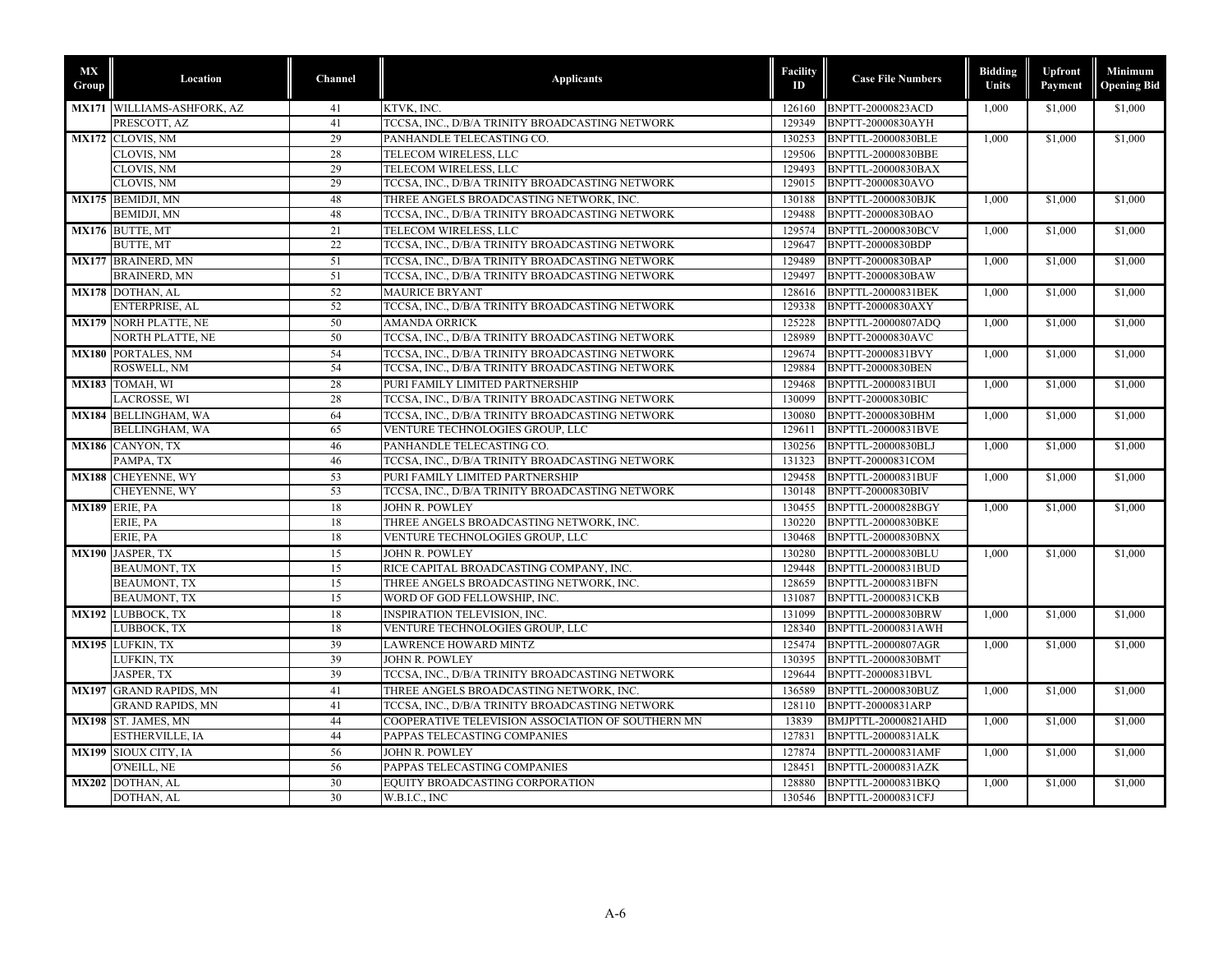| MX<br>Group | Location                            | <b>Channel</b> | <b>Applicants</b>                                 | Facility<br>ID   | <b>Case File Numbers</b>  | <b>Bidding</b><br>Units | Upfront<br>Payment | Minimum<br><b>Opening Bid</b> |
|-------------|-------------------------------------|----------------|---------------------------------------------------|------------------|---------------------------|-------------------------|--------------------|-------------------------------|
|             | MX171 WILLIAMS-ASHFORK, AZ          | 41             | KTVK, INC.                                        | 126160           | <b>BNPTT-20000823ACD</b>  | 1,000                   | \$1,000            | \$1,000                       |
|             | PRESCOTT, AZ                        | 41             | TCCSA, INC., D/B/A TRINITY BROADCASTING NETWORK   | 129349           | BNPTT-20000830AYH         |                         |                    |                               |
|             | MX172 CLOVIS, NM                    | 29             | PANHANDLE TELECASTING CO.                         | 130253           | <b>BNPTTL-20000830BLE</b> | 1,000                   | \$1,000            | \$1,000                       |
|             | CLOVIS, NM                          | 28             | TELECOM WIRELESS, LLC                             | 129506           | BNPTTL-20000830BBE        |                         |                    |                               |
|             | CLOVIS, NM                          | 29             | TELECOM WIRELESS, LLC                             | 129493           | <b>BNPTTL-20000830BAX</b> |                         |                    |                               |
|             | CLOVIS, NM                          | 29             | TCCSA, INC., D/B/A TRINITY BROADCASTING NETWORK   | 129015           | BNPTT-20000830AVO         |                         |                    |                               |
|             | MX175 BEMIDJI, MN                   | 48             | THREE ANGELS BROADCASTING NETWORK, INC.           | 130188           | BNPTTL-20000830BJK        | 1,000                   | \$1,000            | \$1,000                       |
|             | <b>BEMIDJI, MN</b>                  | 48             | TCCSA, INC., D/B/A TRINITY BROADCASTING NETWORK   | 129488           | BNPTT-20000830BAO         |                         |                    |                               |
|             | MX176 BUTTE, MT                     | 21             | TELECOM WIRELESS, LLC                             | 129574           | <b>BNPTTL-20000830BCV</b> | 1.000                   | \$1,000            | \$1,000                       |
|             | <b>BUTTE, MT</b>                    | 22             | TCCSA, INC., D/B/A TRINITY BROADCASTING NETWORK   | 129647           | BNPTT-20000830BDP         |                         |                    |                               |
|             | <b>MX177 BRAINERD, MN</b>           | 51             | TCCSA, INC., D/B/A TRINITY BROADCASTING NETWORK   | 129489           | BNPTT-20000830BAP         | 1,000                   | \$1,000            | \$1,000                       |
|             | <b>BRAINERD, MN</b>                 | 51             | TCCSA, INC., D/B/A TRINITY BROADCASTING NETWORK   | 129497           | BNPTT-20000830BAW         |                         |                    |                               |
|             | MX178 DOTHAN, AL                    | 52             | <b>MAURICE BRYANT</b>                             | 128616           | <b>BNPTTL-20000831BEK</b> | 1,000                   | \$1,000            | \$1,000                       |
|             | ENTERPRISE, AL                      | 52             | TCCSA, INC., D/B/A TRINITY BROADCASTING NETWORK   | 129338           | BNPTT-20000830AXY         |                         |                    |                               |
|             | <b>MX179 NORH PLATTE, NE</b>        | 50             | <b>AMANDA ORRICK</b>                              | 125228           | <b>BNPTTL-20000807ADO</b> | 1,000                   | \$1,000            | \$1,000                       |
|             | NORTH PLATTE, NE                    | 50             | TCCSA, INC., D/B/A TRINITY BROADCASTING NETWORK   | 128989           | BNPTT-20000830AVC         |                         |                    |                               |
|             | <b>MX180 PORTALES, NM</b>           | 54             | TCCSA, INC., D/B/A TRINITY BROADCASTING NETWORK   | 129674           | BNPTT-20000831BVY         | 1.000                   | \$1,000            | \$1,000                       |
|             | ROSWELL, NM                         | 54             | TCCSA, INC., D/B/A TRINITY BROADCASTING NETWORK   | 129884           | <b>BNPTT-20000830BEN</b>  |                         |                    |                               |
|             | MX183 TOMAH, WI                     | 28             | PURI FAMILY LIMITED PARTNERSHIP                   | 129468           | BNPTTL-20000831BUI        | 1,000                   | \$1,000            | \$1,000                       |
|             | LACROSSE, WI                        | 28             | TCCSA, INC., D/B/A TRINITY BROADCASTING NETWORK   | 130099           | BNPTT-20000830BIC         |                         |                    |                               |
|             | MX184 BELLINGHAM, WA                | 64             | TCCSA, INC., D/B/A TRINITY BROADCASTING NETWORK   | 130080           | BNPTT-20000830BHM         | 1,000                   | \$1,000            | \$1,000                       |
|             | <b>BELLINGHAM, WA</b>               | 65             | VENTURE TECHNOLOGIES GROUP, LLC                   | 129611           | BNPTTL-20000831BVE        |                         |                    |                               |
|             | MX186 CANYON, TX                    | 46             | PANHANDLE TELECASTING CO.                         | 130256           | <b>BNPTTL-20000830BLJ</b> | 1,000                   | \$1,000            | \$1,000                       |
|             | PAMPA, TX                           | 46             | TCCSA, INC., D/B/A TRINITY BROADCASTING NETWORK   | 131323           | BNPTT-20000831COM         |                         |                    |                               |
|             | MX188 CHEYENNE, WY                  | 53             | PURI FAMILY LIMITED PARTNERSHIP                   | 129458           | <b>BNPTTL-20000831BUF</b> | 1.000                   | \$1.000            | \$1,000                       |
|             | CHEYENNE, WY                        | 53             | TCCSA, INC., D/B/A TRINITY BROADCASTING NETWORK   | 130148           | BNPTT-20000830BIV         |                         |                    |                               |
|             | MX189 ERIE, PA                      | 18             | <b>JOHN R. POWLEY</b>                             | 130455           | BNPTTL-20000828BGY        | 1.000                   | \$1,000            | \$1,000                       |
|             | ERIE, PA                            | 18             | THREE ANGELS BROADCASTING NETWORK, INC.           | 130220           | <b>BNPTTL-20000830BKE</b> |                         |                    |                               |
|             | ERIE, PA                            | 18             | VENTURE TECHNOLOGIES GROUP, LLC                   | 130468           | BNPTTL-20000830BNX        |                         |                    |                               |
|             | MX190 JASPER, TX                    | 15             | JOHN R. POWLEY                                    | 130280           | BNPTTL-20000830BLU        | 1.000                   | \$1,000            | \$1,000                       |
|             | <b>BEAUMONT, TX</b>                 | 15             | RICE CAPITAL BROADCASTING COMPANY, INC.           | 129448           | BNPTTL-20000831BUD        |                         |                    |                               |
|             | <b>BEAUMONT, TX</b>                 | 15             | THREE ANGELS BROADCASTING NETWORK, INC.           | 128659           | BNPTTL-20000831BFN        |                         |                    |                               |
|             | <b>BEAUMONT, TX</b>                 | 15             | WORD OF GOD FELLOWSHIP, INC.                      | 131087           | BNPTTL-20000831CKB        |                         |                    |                               |
|             | MX192 LUBBOCK, TX                   | 18             | <b>INSPIRATION TELEVISION, INC.</b>               | 131099           | BNPTTL-20000830BRW        | 1.000                   | \$1,000            | \$1,000                       |
|             | LUBBOCK, TX                         | 18             | VENTURE TECHNOLOGIES GROUP, LLC                   | 128340           | BNPTTL-20000831AWH        |                         |                    |                               |
|             | MX195 LUFKIN, TX                    | 39             | <b>LAWRENCE HOWARD MINTZ</b>                      | 125474           | <b>BNPTTL-20000807AGR</b> | 1,000                   | \$1,000            | \$1,000                       |
|             | LUFKIN, TX                          | 39             | <b>JOHN R. POWLEY</b>                             | 130395           | BNPTTL-20000830BMT        |                         |                    |                               |
|             | JASPER, TX                          | 39             | TCCSA, INC., D/B/A TRINITY BROADCASTING NETWORK   | 129644           | BNPTT-20000831BVL         |                         |                    |                               |
|             | <b>MX197</b> GRAND RAPIDS, MN       | 41             | THREE ANGELS BROADCASTING NETWORK, INC            | 136589           | BNPTTL-20000830BUZ        | 1,000                   | \$1,000            | \$1,000                       |
|             | <b>GRAND RAPIDS, MN</b>             | 41             | TCCSA, INC., D/B/A TRINITY BROADCASTING NETWORK   | 128110           | BNPTT-20000831ARP         |                         |                    |                               |
|             | MX198 ST. JAMES, MN                 | 44             | COOPERATIVE TELEVISION ASSOCIATION OF SOUTHERN MN | 13839            | BMJPTTL-20000821AHD       | 1,000                   | \$1,000            | \$1,000                       |
|             | ESTHERVILLE, IA                     | 44             | PAPPAS TELECASTING COMPANIES                      | 127831           | BNPTTL-20000831ALK        |                         |                    |                               |
|             |                                     |                |                                                   |                  |                           |                         |                    |                               |
|             | MX199 SIOUX CITY, IA<br>O'NEILL, NE | 56<br>56       | JOHN R. POWLEY<br>PAPPAS TELECASTING COMPANIES    | 127874<br>128451 | BNPTTL-20000831AMF        | 1,000                   | \$1,000            | \$1,000                       |
|             |                                     |                |                                                   |                  | BNPTTL-20000831AZK        |                         |                    |                               |
|             | MX202 DOTHAN, AL                    | 30             | EQUITY BROADCASTING CORPORATION                   | 128880           | BNPTTL-20000831BKQ        | 1,000                   | \$1,000            | \$1,000                       |
|             | DOTHAN, AL                          | 30             | W.B.I.C., INC                                     |                  | 130546 BNPTTL-20000831CFJ |                         |                    |                               |